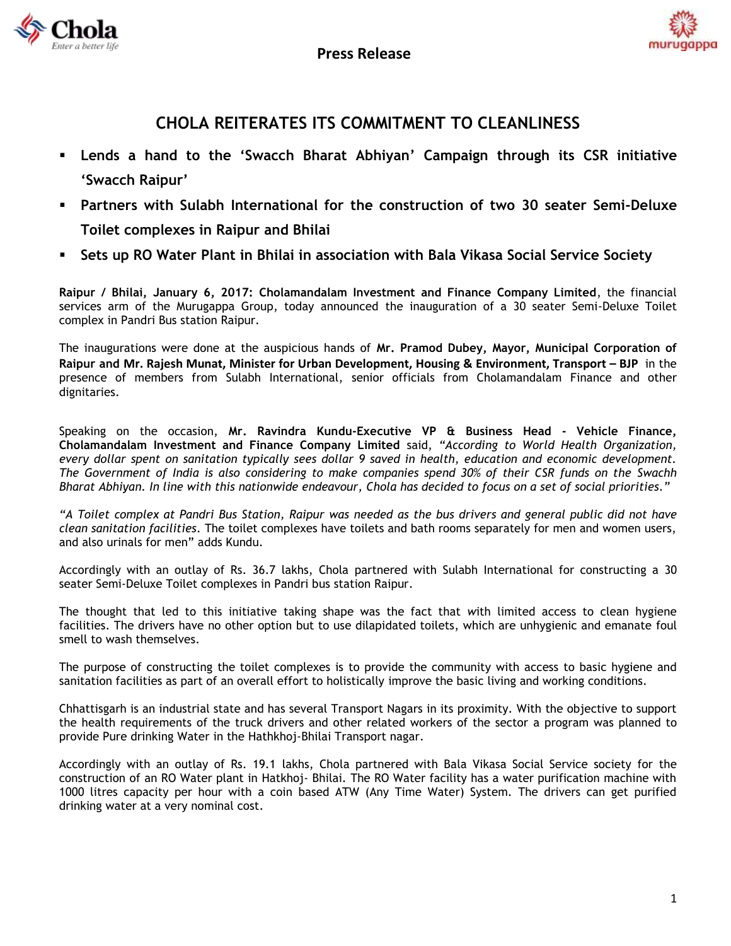



## **CHOLA REITERATES ITS COMMITMENT TO CLEANLINESS**

- **Lends a hand to the 'Swacch Bharat Abhiyan' Campaign through its CSR initiative 'Swacch Raipur'**
- **Partners with Sulabh International for the construction of two 30 seater Semi-Deluxe Toilet complexes in Raipur and Bhilai**
- **Sets up RO Water Plant in Bhilai in association with Bala Vikasa Social Service Society**

**Raipur / Bhilai, January 6, 2017: Cholamandalam Investment and Finance Company Limited**, the financial services arm of the Murugappa Group, today announced the inauguration of a 30 seater Semi-Deluxe Toilet complex in Pandri Bus station Raipur.

The inaugurations were done at the auspicious hands of **Mr. Pramod Dubey, Mayor, Municipal Corporation of Raipur and Mr. Rajesh Munat, Minister for Urban Development, Housing & Environment, Transport – BJP** in the presence of members from Sulabh International, senior officials from Cholamandalam Finance and other dignitaries.

Speaking on the occasion, **Mr. Ravindra Kundu-Executive VP & Business Head - Vehicle Finance, Cholamandalam Investment and Finance Company Limited** said, *"According to World Health Organization, every dollar spent on sanitation typically sees dollar 9 saved in health, education and economic development. The Government of India is also considering to make companies spend 30% of their CSR funds on the Swachh Bharat Abhiyan. In line with this nationwide endeavour, Chola has decided to focus on a set of social priorities."*

*"A Toilet complex at Pandri Bus Station, Raipur was needed as the bus drivers and general public did not have clean sanitation facilities.* The toilet complexes have toilets and bath rooms separately for men and women users, and also urinals for men" adds Kundu.

Accordingly with an outlay of Rs. 36.7 lakhs, Chola partnered with Sulabh International for constructing a 30 seater Semi-Deluxe Toilet complexes in Pandri bus station Raipur.

The thought that led to this initiative taking shape was the fact that *w*ith limited access to clean hygiene facilities. The drivers have no other option but to use dilapidated toilets, which are unhygienic and emanate foul smell to wash themselves.

The purpose of constructing the toilet complexes is to provide the community with access to basic hygiene and sanitation facilities as part of an overall effort to holistically improve the basic living and working conditions.

Chhattisgarh is an industrial state and has several Transport Nagars in its proximity. With the objective to support the health requirements of the truck drivers and other related workers of the sector a program was planned to provide Pure drinking Water in the Hathkhoj-Bhilai Transport nagar.

Accordingly with an outlay of Rs. 19.1 lakhs, Chola partnered with Bala Vikasa Social Service society for the construction of an RO Water plant in Hatkhoj- Bhilai. The RO Water facility has a water purification machine with 1000 litres capacity per hour with a coin based ATW (Any Time Water) System. The drivers can get purified drinking water at a very nominal cost.